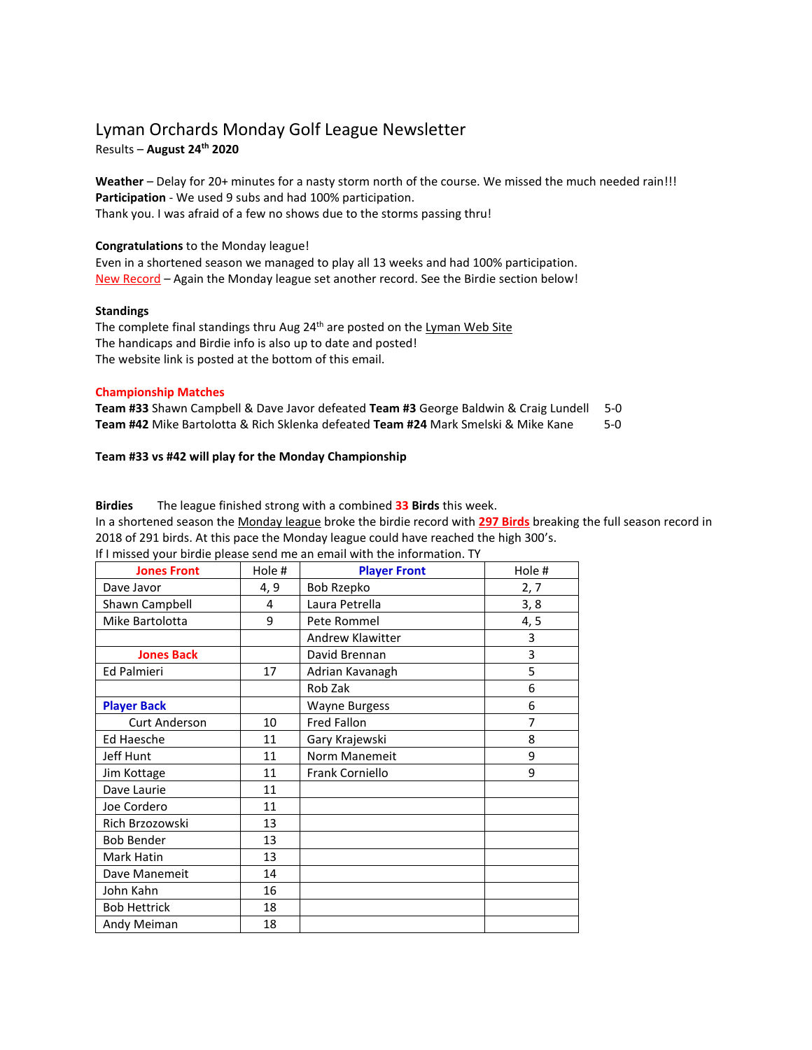### Lyman Orchards Monday Golf League Newsletter Results – **August 24th 2020**

**Weather** – Delay for 20+ minutes for a nasty storm north of the course. We missed the much needed rain!!! **Participation** - We used 9 subs and had 100% participation. Thank you. I was afraid of a few no shows due to the storms passing thru!

#### **Congratulations** to the Monday league!

Even in a shortened season we managed to play all 13 weeks and had 100% participation. New Record – Again the Monday league set another record. See the Birdie section below!

#### **Standings**

The complete final standings thru Aug 24<sup>th</sup> are posted on the Lyman Web Site The handicaps and Birdie info is also up to date and posted! The website link is posted at the bottom of this email.

#### **Championship Matches**

| <b>Team #33</b> Shawn Campbell & Dave Javor defeated Team #3 George Baldwin & Craig Lundell 5-0 |       |
|-------------------------------------------------------------------------------------------------|-------|
| Team #42 Mike Bartolotta & Rich Sklenka defeated Team #24 Mark Smelski & Mike Kane              | $5-0$ |

#### **Team #33 vs #42 will play for the Monday Championship**

**Birdies** The league finished strong with a combined **33 Birds** this week.

In a shortened season the Monday league broke the birdie record with **297 Birds** breaking the full season record in 2018 of 291 birds. At this pace the Monday league could have reached the high 300's. If I missed your birdie please send me an email with the information. TY

| <b>Jones Front</b>   | Hole # | <b>Player Front</b>     | Hole # |
|----------------------|--------|-------------------------|--------|
| Dave Javor           | 4, 9   | <b>Bob Rzepko</b>       | 2, 7   |
| Shawn Campbell       | 4      | Laura Petrella          | 3, 8   |
| Mike Bartolotta      | 9      | Pete Rommel             | 4, 5   |
|                      |        | <b>Andrew Klawitter</b> | 3      |
| <b>Jones Back</b>    |        | David Brennan           | 3      |
| <b>Ed Palmieri</b>   | 17     | Adrian Kavanagh         | 5      |
|                      |        | Rob Zak                 | 6      |
| <b>Player Back</b>   |        | <b>Wayne Burgess</b>    | 6      |
| <b>Curt Anderson</b> | 10     | Fred Fallon             | 7      |
| <b>Ed Haesche</b>    | 11     | Gary Krajewski          | 8      |
| Jeff Hunt            | 11     | Norm Manemeit           | 9      |
| Jim Kottage          | 11     | Frank Corniello         | 9      |
| Dave Laurie          | 11     |                         |        |
| Joe Cordero          | 11     |                         |        |
| Rich Brzozowski      | 13     |                         |        |
| <b>Bob Bender</b>    | 13     |                         |        |
| Mark Hatin           | 13     |                         |        |
| Dave Manemeit        | 14     |                         |        |
| John Kahn            | 16     |                         |        |
| <b>Bob Hettrick</b>  | 18     |                         |        |
| Andy Meiman          | 18     |                         |        |